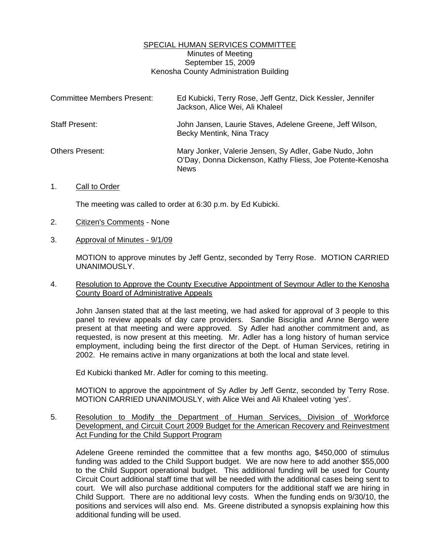## SPECIAL HUMAN SERVICES COMMITTEE Minutes of Meeting September 15, 2009 Kenosha County Administration Building

| <b>Committee Members Present:</b> | Ed Kubicki, Terry Rose, Jeff Gentz, Dick Kessler, Jennifer<br>Jackson, Alice Wei, Ali Khaleel                                      |
|-----------------------------------|------------------------------------------------------------------------------------------------------------------------------------|
| Staff Present:                    | John Jansen, Laurie Staves, Adelene Greene, Jeff Wilson,<br>Becky Mentink, Nina Tracy                                              |
| <b>Others Present:</b>            | Mary Jonker, Valerie Jensen, Sy Adler, Gabe Nudo, John<br>O'Day, Donna Dickenson, Kathy Fliess, Joe Potente-Kenosha<br><b>News</b> |

## 1. Call to Order

The meeting was called to order at 6:30 p.m. by Ed Kubicki.

- 2. Citizen's Comments None
- 3. Approval of Minutes 9/1/09

 MOTION to approve minutes by Jeff Gentz, seconded by Terry Rose. MOTION CARRIED UNANIMOUSLY.

## 4. Resolution to Approve the County Executive Appointment of Seymour Adler to the Kenosha County Board of Administrative Appeals

 John Jansen stated that at the last meeting, we had asked for approval of 3 people to this panel to review appeals of day care providers. Sandie Bisciglia and Anne Bergo were present at that meeting and were approved. Sy Adler had another commitment and, as requested, is now present at this meeting. Mr. Adler has a long history of human service employment, including being the first director of the Dept. of Human Services, retiring in 2002. He remains active in many organizations at both the local and state level.

Ed Kubicki thanked Mr. Adler for coming to this meeting.

 MOTION to approve the appointment of Sy Adler by Jeff Gentz, seconded by Terry Rose. MOTION CARRIED UNANIMOUSLY, with Alice Wei and Ali Khaleel voting 'yes'.

5. Resolution to Modify the Department of Human Services, Division of Workforce Development, and Circuit Court 2009 Budget for the American Recovery and Reinvestment Act Funding for the Child Support Program

 Adelene Greene reminded the committee that a few months ago, \$450,000 of stimulus funding was added to the Child Support budget. We are now here to add another \$55,000 to the Child Support operational budget. This additional funding will be used for County Circuit Court additional staff time that will be needed with the additional cases being sent to court. We will also purchase additional computers for the additional staff we are hiring in Child Support. There are no additional levy costs. When the funding ends on 9/30/10, the positions and services will also end. Ms. Greene distributed a synopsis explaining how this additional funding will be used.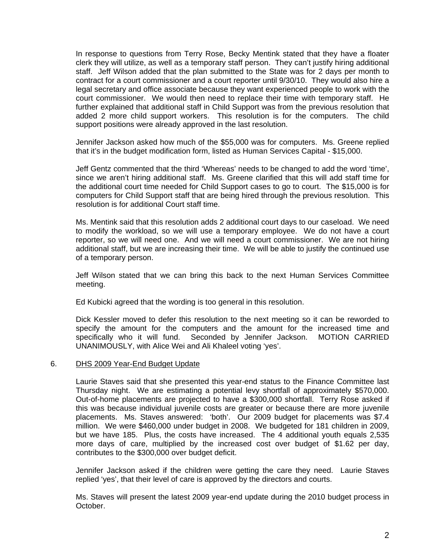In response to questions from Terry Rose, Becky Mentink stated that they have a floater clerk they will utilize, as well as a temporary staff person. They can't justify hiring additional staff. Jeff Wilson added that the plan submitted to the State was for 2 days per month to contract for a court commissioner and a court reporter until 9/30/10. They would also hire a legal secretary and office associate because they want experienced people to work with the court commissioner. We would then need to replace their time with temporary staff. He further explained that additional staff in Child Support was from the previous resolution that added 2 more child support workers. This resolution is for the computers. The child support positions were already approved in the last resolution.

 Jennifer Jackson asked how much of the \$55,000 was for computers. Ms. Greene replied that it's in the budget modification form, listed as Human Services Capital - \$15,000.

 Jeff Gentz commented that the third 'Whereas' needs to be changed to add the word 'time', since we aren't hiring additional staff. Ms. Greene clarified that this will add staff time for the additional court time needed for Child Support cases to go to court. The \$15,000 is for computers for Child Support staff that are being hired through the previous resolution. This resolution is for additional Court staff time.

 Ms. Mentink said that this resolution adds 2 additional court days to our caseload. We need to modify the workload, so we will use a temporary employee. We do not have a court reporter, so we will need one. And we will need a court commissioner. We are not hiring additional staff, but we are increasing their time. We will be able to justify the continued use of a temporary person.

 Jeff Wilson stated that we can bring this back to the next Human Services Committee meeting.

Ed Kubicki agreed that the wording is too general in this resolution.

 Dick Kessler moved to defer this resolution to the next meeting so it can be reworded to specify the amount for the computers and the amount for the increased time and specifically who it will fund. Seconded by Jennifer Jackson. MOTION CARRIED UNANIMOUSLY, with Alice Wei and Ali Khaleel voting 'yes'.

## 6. DHS 2009 Year-End Budget Update

 Laurie Staves said that she presented this year-end status to the Finance Committee last Thursday night. We are estimating a potential levy shortfall of approximately \$570,000. Out-of-home placements are projected to have a \$300,000 shortfall. Terry Rose asked if this was because individual juvenile costs are greater or because there are more juvenile placements. Ms. Staves answered: 'both'. Our 2009 budget for placements was \$7.4 million. We were \$460,000 under budget in 2008. We budgeted for 181 children in 2009, but we have 185. Plus, the costs have increased. The 4 additional youth equals 2,535 more days of care, multiplied by the increased cost over budget of \$1.62 per day, contributes to the \$300,000 over budget deficit.

 Jennifer Jackson asked if the children were getting the care they need. Laurie Staves replied 'yes', that their level of care is approved by the directors and courts.

 Ms. Staves will present the latest 2009 year-end update during the 2010 budget process in October.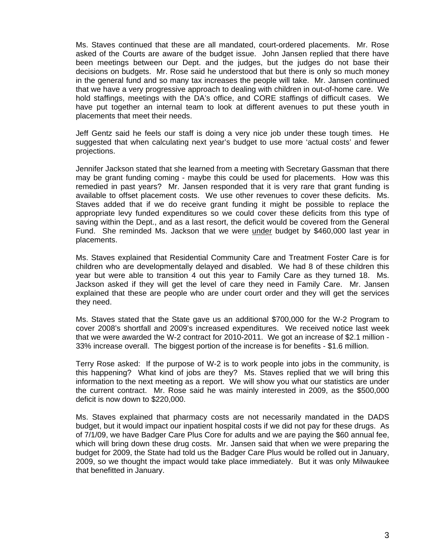Ms. Staves continued that these are all mandated, court-ordered placements. Mr. Rose asked of the Courts are aware of the budget issue. John Jansen replied that there have been meetings between our Dept. and the judges, but the judges do not base their decisions on budgets. Mr. Rose said he understood that but there is only so much money in the general fund and so many tax increases the people will take. Mr. Jansen continued that we have a very progressive approach to dealing with children in out-of-home care. We hold staffings, meetings with the DA's office, and CORE staffings of difficult cases. We have put together an internal team to look at different avenues to put these youth in placements that meet their needs.

 Jeff Gentz said he feels our staff is doing a very nice job under these tough times. He suggested that when calculating next year's budget to use more 'actual costs' and fewer projections.

 Jennifer Jackson stated that she learned from a meeting with Secretary Gassman that there may be grant funding coming - maybe this could be used for placements. How was this remedied in past years? Mr. Jansen responded that it is very rare that grant funding is available to offset placement costs. We use other revenues to cover these deficits. Ms. Staves added that if we do receive grant funding it might be possible to replace the appropriate levy funded expenditures so we could cover these deficits from this type of saving within the Dept., and as a last resort, the deficit would be covered from the General Fund. She reminded Ms. Jackson that we were under budget by \$460,000 last year in placements.

 Ms. Staves explained that Residential Community Care and Treatment Foster Care is for children who are developmentally delayed and disabled. We had 8 of these children this year but were able to transition 4 out this year to Family Care as they turned 18. Ms. Jackson asked if they will get the level of care they need in Family Care. Mr. Jansen explained that these are people who are under court order and they will get the services they need.

 Ms. Staves stated that the State gave us an additional \$700,000 for the W-2 Program to cover 2008's shortfall and 2009's increased expenditures. We received notice last week that we were awarded the W-2 contract for 2010-2011. We got an increase of \$2.1 million - 33% increase overall. The biggest portion of the increase is for benefits - \$1.6 million.

 Terry Rose asked: If the purpose of W-2 is to work people into jobs in the community, is this happening? What kind of jobs are they? Ms. Staves replied that we will bring this information to the next meeting as a report. We will show you what our statistics are under the current contract. Mr. Rose said he was mainly interested in 2009, as the \$500,000 deficit is now down to \$220,000.

 Ms. Staves explained that pharmacy costs are not necessarily mandated in the DADS budget, but it would impact our inpatient hospital costs if we did not pay for these drugs. As of 7/1/09, we have Badger Care Plus Core for adults and we are paying the \$60 annual fee, which will bring down these drug costs. Mr. Jansen said that when we were preparing the budget for 2009, the State had told us the Badger Care Plus would be rolled out in January, 2009, so we thought the impact would take place immediately. But it was only Milwaukee that benefitted in January.